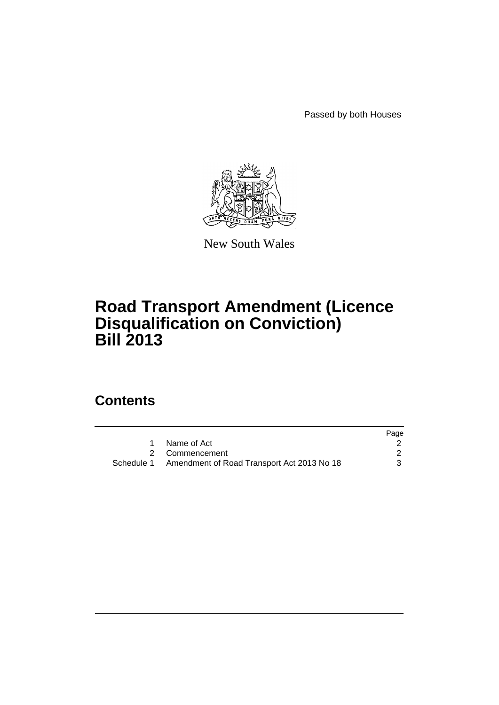Passed by both Houses



New South Wales

# **Road Transport Amendment (Licence Disqualification on Conviction) Bill 2013**

### **Contents**

|                                                       | Page |
|-------------------------------------------------------|------|
| Name of Act                                           |      |
| 2 Commencement                                        |      |
| Schedule 1 Amendment of Road Transport Act 2013 No 18 |      |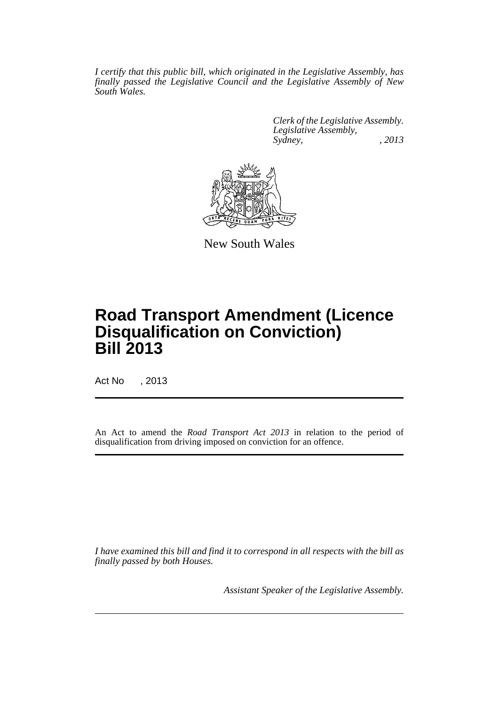*I certify that this public bill, which originated in the Legislative Assembly, has finally passed the Legislative Council and the Legislative Assembly of New South Wales.*

> *Clerk of the Legislative Assembly. Legislative Assembly, Sydney, , 2013*



New South Wales

## **Road Transport Amendment (Licence Disqualification on Conviction) Bill 2013**

Act No , 2013

An Act to amend the *Road Transport Act 2013* in relation to the period of disqualification from driving imposed on conviction for an offence.

*I have examined this bill and find it to correspond in all respects with the bill as finally passed by both Houses.*

*Assistant Speaker of the Legislative Assembly.*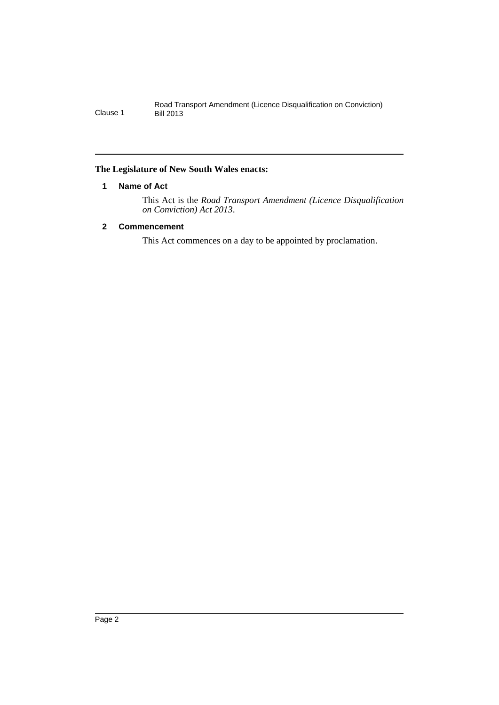#### <span id="page-3-0"></span>**The Legislature of New South Wales enacts:**

#### **1 Name of Act**

This Act is the *Road Transport Amendment (Licence Disqualification on Conviction) Act 2013*.

#### <span id="page-3-1"></span>**2 Commencement**

This Act commences on a day to be appointed by proclamation.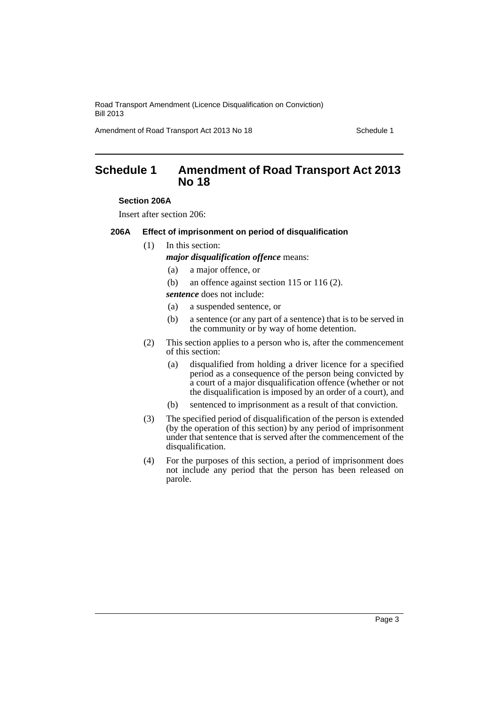Road Transport Amendment (Licence Disqualification on Conviction) Bill 2013

Amendment of Road Transport Act 2013 No 18 Schedule 1

### <span id="page-4-0"></span>**Schedule 1 Amendment of Road Transport Act 2013 No 18**

#### **Section 206A**

Insert after section 206:

#### **206A Effect of imprisonment on period of disqualification**

(1) In this section:

*major disqualification offence* means:

- (a) a major offence, or
- (b) an offence against section 115 or 116 (2).

*sentence* does not include:

- (a) a suspended sentence, or
- (b) a sentence (or any part of a sentence) that is to be served in the community or by way of home detention.
- (2) This section applies to a person who is, after the commencement of this section:
	- (a) disqualified from holding a driver licence for a specified period as a consequence of the person being convicted by a court of a major disqualification offence (whether or not the disqualification is imposed by an order of a court), and
	- (b) sentenced to imprisonment as a result of that conviction.
- (3) The specified period of disqualification of the person is extended (by the operation of this section) by any period of imprisonment under that sentence that is served after the commencement of the disqualification.
- (4) For the purposes of this section, a period of imprisonment does not include any period that the person has been released on parole.